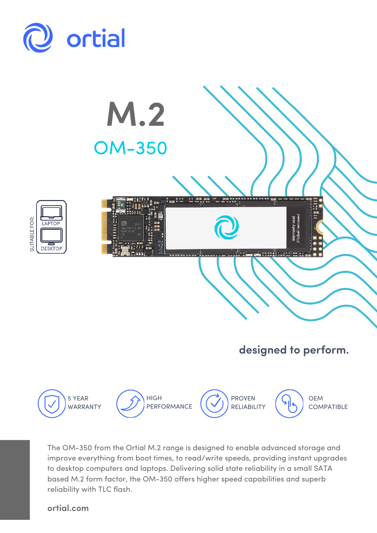



The OM-350 from the Ortial M.2 range is designed to enable advanced storage and improve everything from boot times, to read/write speeds, providing instant upgrades to desktop computers and laptops. Delivering solid state reliability in a small SATA based M.2 form factor, the OM-350 offers higher speed capabilities and superb reliability with TLC flash.

**ortial.com**